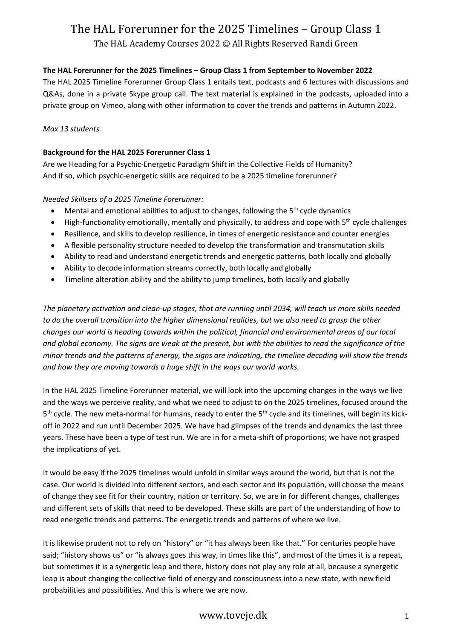# The HAL Forerunner for the 2025 Timelines – Group Class 1

The HAL Academy Courses 2022 © All Rights Reserved Randi Green

## **The HAL Forerunner for the 2025 Timelines – Group Class 1 from September to November 2022**

The HAL 2025 Timeline Forerunner Group Class 1 entails text, podcasts and 6 lectures with discussions and Q&As, done in a private Skype group call. The text material is explained in the podcasts, uploaded into a private group on Vimeo, along with other information to cover the trends and patterns in Autumn 2022.

### *Max 13 students.*

#### **Background for the HAL 2025 Forerunner Class 1**

Are we Heading for a Psychic-Energetic Paradigm Shift in the Collective Fields of Humanity? And if so, which psychic-energetic skills are required to be a 2025 timeline forerunner?

*Needed Skillsets of a 2025 Timeline Forerunner:*

- Mental and emotional abilities to adjust to changes, following the  $5<sup>th</sup>$  cycle dynamics
- High-functionality emotionally, mentally and physically, to address and cope with 5<sup>th</sup> cycle challenges
- Resilience, and skills to develop resilience, in times of energetic resistance and counter energies
- A flexible personality structure needed to develop the transformation and transmutation skills
- Ability to read and understand energetic trends and energetic patterns, both locally and globally
- Ability to decode information streams correctly, both locally and globally
- Timeline alteration ability and the ability to jump timelines, both locally and globally

*The planetary activation and clean-up stages, that are running until 2034, will teach us more skills needed to do the overall transition into the higher dimensional realities, but we also need to grasp the other changes our world is heading towards within the political, financial and environmental areas of our local and global economy. The signs are weak at the present, but with the abilities to read the significance of the minor trends and the patterns of energy, the signs are indicating, the timeline decoding will show the trends and how they are moving towards a huge shift in the ways our world works.* 

In the HAL 2025 Timeline Forerunner material, we will look into the upcoming changes in the ways we live and the ways we perceive reality, and what we need to adjust to on the 2025 timelines, focused around the 5<sup>th</sup> cycle. The new meta-normal for humans, ready to enter the 5<sup>th</sup> cycle and its timelines, will begin its kickoff in 2022 and run until December 2025. We have had glimpses of the trends and dynamics the last three years. These have been a type of test run. We are in for a meta-shift of proportions; we have not grasped the implications of yet.

It would be easy if the 2025 timelines would unfold in similar ways around the world, but that is not the case. Our world is divided into different sectors, and each sector and its population, will choose the means of change they see fit for their country, nation or territory. So, we are in for different changes, challenges and different sets of skills that need to be developed. These skills are part of the understanding of how to read energetic trends and patterns. The energetic trends and patterns of where we live.

It is likewise prudent not to rely on "history" or "it has always been like that." For centuries people have said; "history shows us" or "is always goes this way, in times like this", and most of the times it is a repeat, but sometimes it is a synergetic leap and there, history does not play any role at all, because a synergetic leap is about changing the collective field of energy and consciousness into a new state, with new field probabilities and possibilities. And this is where we are now.

## www.toveje.dk 1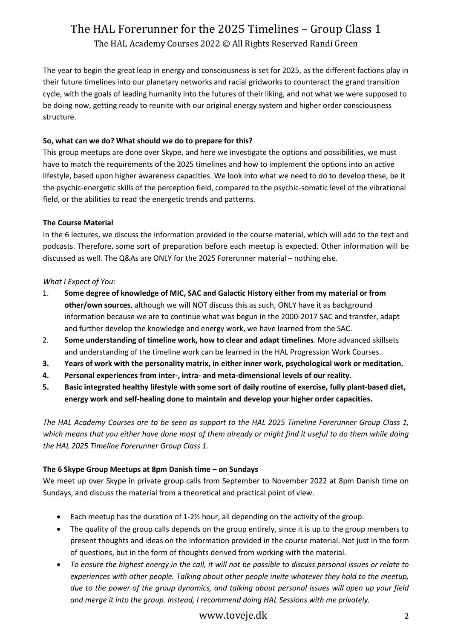## The HAL Forerunner for the 2025 Timelines – Group Class 1 The HAL Academy Courses 2022 © All Rights Reserved Randi Green

The year to begin the great leap in energy and consciousness is set for 2025, as the different factions play in their future timelines into our planetary networks and racial gridworks to counteract the grand transition cycle, with the goals of leading humanity into the futures of their liking, and not what we were supposed to be doing now, getting ready to reunite with our original energy system and higher order consciousness structure.

## **So, what can we do? What should we do to prepare for this?**

This group meetups are done over Skype, and here we investigate the options and possibilities, we must have to match the requirements of the 2025 timelines and how to implement the options into an active lifestyle, based upon higher awareness capacities. We look into what we need to do to develop these, be it the psychic-energetic skills of the perception field, compared to the psychic-somatic level of the vibrational field, or the abilities to read the energetic trends and patterns.

## **The Course Material**

In the 6 lectures, we discuss the information provided in the course material, which will add to the text and podcasts. Therefore, some sort of preparation before each meetup is expected. Other information will be discussed as well. The Q&As are ONLY for the 2025 Forerunner material – nothing else.

## *What I Expect of You:*

- 1. **Some degree of knowledge of MIC, SAC and Galactic History either from my material or from other/own sources**, although we will NOT discuss this as such, ONLY have it as background information because we are to continue what was begun in the 2000-2017 SAC and transfer, adapt and further develop the knowledge and energy work, we have learned from the SAC.
- 2. **Some understanding of timeline work, how to clear and adapt timelines**. More advanced skillsets and understanding of the timeline work can be learned in the HAL Progression Work Courses.
- **3. Years of work with the personality matrix, in either inner work, psychological work or meditation.**
- **4. Personal experiences from inter-, intra- and meta-dimensional levels of our reality.**
- **5. Basic integrated healthy lifestyle with some sort of daily routine of exercise, fully plant-based diet, energy work and self-healing done to maintain and develop your higher order capacities.**

*The HAL Academy Courses are to be seen as support to the HAL 2025 Timeline Forerunner Group Class 1, which means that you either have done most of them already or might find it useful to do them while doing the HAL 2025 Timeline Forerunner Group Class 1.*

## **The 6 Skype Group Meetups at 8pm Danish time – on Sundays**

We meet up over Skype in private group calls from September to November 2022 at 8pm Danish time on Sundays, and discuss the material from a theoretical and practical point of view.

- Each meetup has the duration of 1-2½ hour, all depending on the activity of the group.
- The quality of the group calls depends on the group entirely, since it is up to the group members to present thoughts and ideas on the information provided in the course material. Not just in the form of questions, but in the form of thoughts derived from working with the material.
- *To ensure the highest energy in the call, it will not be possible to discuss personal issues or relate to experiences with other people. Talking about other people invite whatever they hold to the meetup, due to the power of the group dynamics, and talking about personal issues will open up your field and merge it into the group. Instead, I recommend doing HAL Sessions with me privately.*